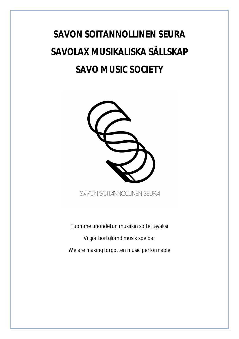## **SAVON SOITANNOLLINEN SEURA SAVOLAX MUSIKALISKA SÄLLSKAP SAVO MUSIC SOCIETY**



SAVON SOITANNOLLINEN SEURA

Tuomme unohdetun musiikin soitettavaksi Vi gör bortglömd musik spelbar We are making forgotten music performable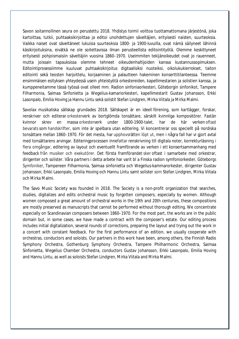Savon soitannollinen seura on perustettu 2018. Yhdistys toimii voittoa tuottamattomana järjestönä, joka kartoittaa, tutkii, puhtaaksikirjoittaa ja editoi unohdettujen säveltäjien, erityisesti naisten, suurteoksia. Vaikka naiset ovat säveltäneet lukuisia suurteoksia 1800- ja 1900-luvuilla, ovat nämä säilyneet lähinnä käsikirjoituksina, eivätkä ne ole soitettavissa ilman perusteellista editointityötä. Olemme keskittyneet erityisesti pohjoismaisiin säveltäjiin vuosina 1860–1970. Useimmiten tekijänoikeudet ovat jo rauenneet, mutta joissain tapauksissa olemme tehneet oikeudenhaltijoiden kanssa kustannussopimuksen. Editointiprosessiimme kuuluvat puhtaaksikirjoitus digitaalisiksi nuoteiksi, oikolukukierrokset, taiton editointi sekä teosten harjoittelu, korjaaminen ja palautteen hakeminen konserttitilanteessa. Teemme ensimmäisen esityksen yhteydessä usein yhteistyötä orkestereiden, kapellimestarien ja solistien kanssa, ja kumppeneitamme tässä työssä ovat olleet mm. Radion sinfoniaorkesteri, Göteborgin sinfonikot, Tampere Filharmonia, Saimaa Sinfonietta ja Wegelius-kamariorkesteri, kapellimestarit Gustav Johansson, Erkki Lasonpalo, Emilia Hoving ja Hannu Lintu sekä solistit Stefan Lindgren, Mirka Viitala ja Mirka Malmi.

Savolax musikaliska sällskap grundades 2018. Sällskapet är en ideell förening, som kartlägger, forskar, renskriver och editerar orkesterverk av bortglömda tonsättare, särskilt kvinnliga kompositörer. Fastän kvinnor skrev en massa orkesterverk under 1800-1900-talet, har de här verken oftast bevarats som handskrifter, som inte är spelbara utan editering. Vi koncentrerar oss speciellt på nordiska tonsättare mellan 1860–1970. För det mesta, har upphovsrätten löpt ut, men i några fall har vi gjort avtal med tonsättarens arvingar. Editeringprocessen innefattar renskrivning till digitala noter, korrekturläsning i flera omgångar, editering av layout och eventuellt framförande av verken i ett konsertsammanhang med feedback från musiker och exekutörer. Det första framförandet sker oftast i samarbete med orkestrar, dirigenter och solister. Våra partners i detta arbete har varit bl a Finska radion symfoniorkester, Göteborgs Symfoniker, Tampereen Filharmonia, Saimaa sinfonietta och Wegelius-kammarorkester, dirigenter Gustav Johansson, Erkki Lasonpalo, Emilia Hoving och Hannu Lintu samt solister som Stefan Lindgren, Mirka Viitala och Mirka Malmi.

The Savo Music Society was founded in 2018. The Society is a non-profit organization that searches, studies, digitalizes and edits orchestral music by forgotten composers, especially by women. Although women composed a great amount of orchestral works in the 19th and 20th centuries, these compositions are mostly preserved as manuscripts that cannot be performed without thorough editing. We concentrate especially on Scandinavian composers between 1860–1970. For the most part, the works are in the public domain but, in some cases, we have made a contract with the composer's estate. Our editing process includes initial digitalization, several rounds of corrections, preparing the layout and trying out the work in a concert with constant feedback. For the first performance of an edition, we usually cooperate with orchestras, conductors and soloists. Our partners in this work have been, among others, the Finnish Radio Symphony Orchestra, Gothenburg Symphony Orchestra, Tampere Philharmonic Orchestra, Saimaa Sinfonietta, Wegelius Chamber Orchestra, conductors Gustav Johansson, Erkki Lasonpalo, Emilia Hoving and Hannu Lintu, as well as soloists Stefan Lindgren, Mirka Viitala and Mirka Malmi.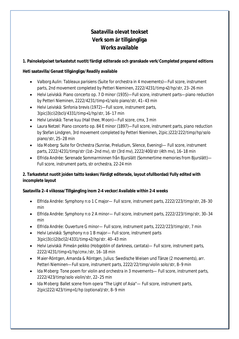## **Saatavilla olevat teokset Verk som är tillgängliga Works available**

**1. Painokelpoiset tarkastetut nuotit/färdigt editerade och granskade verk/Completed prepared editions**

**Heti saatavilla/Genast tillgängliga/Readily available**

- x Valborg Aulin: *Tableaux parisiens* (Suite for orchestra in 4 movements)—Full score, instrument parts, 2nd movement completed by Petteri Nieminen, 2222/4231/timp+2/hp/str, 23–26 min
- Helvi Leiviskä: Piano concerto op. 7 D minor (1935)—Full score, instrument parts—piano reduction by Petteri Nieminen, 2222/4231/timp+1/solo piano/str, 41–43 min
- x Helvi Leiviskä: *Sinfonia brevis* (1972)—Full score, instrument parts, 3(pic)3(ci)2(bcl)/4331/timp+1/hp/str, 16–17 min
- Helvi Leiviskä: Terve kuu (Hail thee, Moon)—Full score, cmx, 3 min
- Laura Netzel: Piano concerto op. 84 E minor (1897)—Full score, instrument parts, piano reduction by Stefan Lindgren, 3rd movement completed by Petteri Nieminen, 2(pic.)222/222/timp/hp/solo piano/str, 25–28 min
- x Ida Moberg: Suite for Orchestra (Sunrise, Preludium, Silence, Evening)— Full score, instrument parts, 2222/4231/timp/str (1st–2nd mv), str (3rd mv), 2222/400/str (4th mv), 16–18 min
- x Elfrida Andrée: Serenade *Sommarminnen från Bjurslätt* (Sommertime memories from Bjurslätt)— Full score, instrument parts, str orchestra, 22-24 min

**2. Tarkastetut nuotit joiden taitto kesken/Färdigt editerade, layout ofullbordad/Fully edited with incomplete layout**

**Saatavilla 2–4 viikossa/Tillgängling inom 2-4 veckor/Available within 2-4 weeks**

- Elfrida Andrée: Symphony n:o 1 C major— Full score, instrument parts, 2222/223/timp/str, 28–30 min
- x Elfrida Andrée: Symphony n:o 2 A minor— Full score, instrument parts, 2222/223/timp/str, 30–34 min
- Elfrida Andrée: Ouverture G minor— Full score, instrument parts, 2222/223/timp/str, 7 min
- Helvi Leiviskä: Symphony n:o 1 B major— Full score, instrument parts 3(pic)3(ci)2(bcl)2/4331/timp+2/hp/str. 40–43 min
- x Helvi Leiviskä: *Pimeän peikko* (Hobgoblin of darkness, cantata)— Full score, instrument parts, 2222/4231/timp+1/hp/cmx /str, 16–18 min
- x Maier-Röntgen, Amanda & Röntgen, Julius: Swedische Weisen und Tänze (2 movements), arr. Petteri Nieminen—Full score, instrument parts, 2222/22/timp/violin solo/str, 8–9 min
- Ida Moberg: Tone poem for violin and orchestra in 3 movements— Full score, instrument parts, 2222/423/timp/solo violin/str, 22–25 min
- Ida Moberg: Ballet scene from opera "The Light of Asia"— Full score, instrument parts, 2(pic)222/423/timp+1/hp (optional)/str, 8–9 min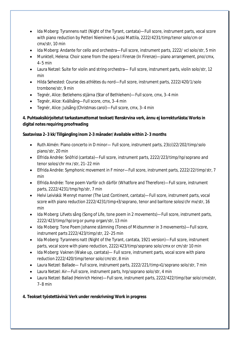- x Ida Moberg: *Tyrannens natt* (Night of the Tyrant, cantata)—Full score, instrument parts, vocal score with piano reduction by Petteri Nieminen & Jussi Mattila, 2222/4231/timp/tenor solo/cm or cmx/str, 10 min
- Ida Moberg: Andante for cello and orchestra—Full score, instrument parts, 2222/ vcl solo/str, 5 min
- Munktell, Helena: Choir scene from the opera I Firenze (In Firenze)—piano arrangement, pno/cmx, 4–5 min
- Laura Netzel: Suite for violin and string orchestra— Full score, instrument parts, violin solo/str, 12 min
- x Hilda Sehested: *Course des athlètes du nord*—Full score, instrument parts, 2222/420/1/solo trombone/str, 9 min
- x Tegnér, Alice: Betlehems stjärna (Star of Bethlehem)—Full score, cmx, 3–4 min
- Tegnér, Alice: Kvällsång—Full score, cmx, 3–4 min
- Tegnér, Alice: Julsång (Christmas carol)—Full score, cmx, 3–4 min

**4. Puhtaaksikirjoitetut tarkastamattomat teokset/Renskrvina verk, ännu ej korrekturlästa/Works in digital notes requiring proofreading**

**Saatavissa 2–3 kk/Tillgängling inom 2-3 månader/Available within 2–3 months**

- Ruth Almén: Piano concerto in D minor— Full score, instrument parts, 23(ci)22/202/timp/solo piano/str, 20 min
- x Elfrida Andrée: *Snöfrid* (cantata)—Full score, instrument parts, 2222/223/timp/hp/soprano and tenor solos/chr mx /str, 21–22 min
- Elfrida Andrée: Symphonic movement in F minor—Full score, instrument parts, 2222/22/timp/str, 7 min
- x Elfrida Andrée: Tone poem *Varför och därför* (Whatfore and Therefore)—Full score, instrument parts, 2222/4231/tmp/hp/str, 7 min
- x Helvi Leiviskä: *Mennyt manner* (The Lost Continent, cantata)—Full score, instrument parts, vocal score with piano reduction 2222/4231/timp+3/soprano, tenor and baritone solos/chr mx/str, 16 min
- x Ida Moberg: *Lifvets sång* (Song of Life, tone poem in 2 movements)—Full score, instrument parts, 2222/423/timp/hp/org or pump organ/str, 13 min
- x Ida Moberg: Tone Poem *Johanne stämning* (Tones of Midsummer in 3 movements)—Full score, instrument parts 2222/423/timp/str, 22–25 min
- x Ida Moberg: *Tyrannens natt* (Night of the Tyrant, cantata, 1921 version)—Full score, instrument parts, vocal score with piano reduction, 2222/423/timp/soprano solo/cmx or cm/str 10 min
- x Ida Moberg: *Vaknen* (Wake up, cantata)— Full score, instrument parts, vocal score with piano reduction 2222/420/timp/tenor solo/cm/str, 8 min
- Laura Netzel: Ballade— Full score, instrument parts, 2222/221/timp+1/soprano solo/str, 7 min
- Laura Netzel: Air—Full score, instrument parts, hrp/soprano solo/str, 4 min
- Laura Netzel: Ballad (Heinrich Heine)—Full sore, instrument parts, 2222/422/timp/bar solo/cmx(str, 7–8 min

**4. Teokset työstettävinä/Verk under renskrivning/Work in progress**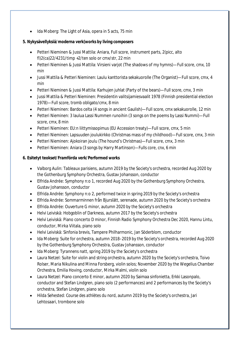• Ida Moberg: The Light of Asia, opera in 5 acts, 75 min

**5. Nykysävellyksiä/moderna verk(works by living composers**

- Petteri Nieminen & Jussi Mattila: Aniara, Full score, instrument parts, 2(picc, alto fl)2(ca)22/4231/timp  $+2$ /ten solo or cmx/str, 22 min
- Petteri Nieminen & Jussi Mattila: Virsieni varjot (The shadows of my hymns)—Full score, cmx, 10 min
- x Jussi Mattila & Petteri Nieminen: Laulu kanttorista sekakuorolle (The Organist)—Full score, cmx, 4 min
- Petteri Nieminen & Jussi Mattila: Karhujen juhlat (Party of the bears)—Full score, cmx, 3 min
- x Jussi Mattila & Petteri Nieminen: Presidentin valitsijamiesvaalit 1978 (Finnish presidential election 1978)—Full score, tromb obligato/cmx, 8 min
- Petteri Nieminen: Bardos celta (4 songs in ancient Gaulish)—Full score, cmx sekakuorolle, 12 min
- Petteri Nieminen: 3 laulua Lassi Nummen runoihin (3 songs on the poems by Lassi Nummi)—Full score, cmx, 8 min
- Petteri Nieminen: EU:n liittymissopimus (EU Accession treaty)—Full score, cmx, 5 min
- Petteri Nieminen: Lapsuuden joulukirkko (Christmas mass of my childhood)—Full score, cmx, 3 min
- Petteri Nieminen: Ajokoiran joulu (The hound's Christmas)—Full score, cmx, 3 min
- Petteri Nieminen: Aniara (3 songs by Harry Martinson)—Fulls core, cnx, 6 min

## **6. Esitetyt teokset/Framförda verk/Performed works**

- x Valborg Aulin: *Tableaux parisiens*, autumn 2019 by the Society's orchestra, recorded Aug 2020 by the Gothenburg Symphony Orchestra, Gustav Johansson, conductor
- Elfrida Andrée: Symphony n:o 1, recorded Aug 2020 by the Gothenburg Symphony Orchestra, Gustav Johansson, conductor
- Elfrida Andrée: Symphony n:o 2, performed twice in spring 2019 by the Society's orchestra
- Elfrida Andrée: Sommarminnen från Bjurslätt, serenade, autumn 2020 by the Society's orchestra
- Elfrida Andrée: Ouverture G minor, autumn 2020 by the Society's orchestra
- Helvi Leiviskä: Hobgoblin of Darkness, autumn 2017 by the Society's orchestra
- x Helvi Leiviskä: Piano concerto D minor, Finnish Radio Symphony Orchestra Dec 2020, Hannu Lintu, conductor, Mirka Viitala, piano solo
- x Helvi Leiviskä: Sinfonia brevis, Tampere Philharmonic, Jan Söderblom, conductor
- Ida Moberg: Suite for orchestra, autumn 2018–2019 by the Society's orchestra, recorded Aug 2020 by the Gothenburg Symphony Orchestra, Gustav Johansson, conductor
- x Ida Moberg: *Tyrannens natt*, spring 2019 by the Society's orchestra
- Laura Netzel: Suite for violin and string orchestra, autumn 2020 by the Society's orchestra, Toivo Rolser, Maria Nikulina and Minna Forsberg, violin solos; November 2020 by the Wegelius Chamber Orchestra, Emilia Hoving, conductor, Mirka Malmi, violin solo
- Laura Netzel: Piano concerto E minor, autumn 2020 by Saimaa sinfonietta, Erkki Lasonpalo, conductor and Stefan Lindgren, piano solo (2 performances) and 2 performances by the Society's orchestra, Stefan Lindgren, piano solo
- x Hilda Sehested: *Course des athlètes du nord*, autumn 2019 by the Society's orchestra, Jari Lehtosaari, trombone solo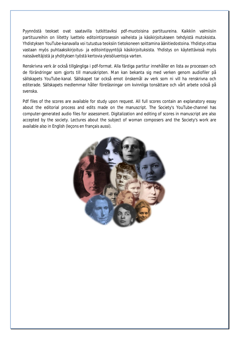Pyynnöstä teokset ovat saatavilla tutkittaviksi pdf-muotoisina partituureina. Kaikkiin valmiisiin partituureihin on liitetty luettelo editointiprosessin vaiheista ja käsikirjoitukseen tehdyistä mutoksista. Yhdistyksen YouTube-kanavalla voi tutustua teoksiin tietokoneen soittamina äänitiedostoina. Yhdistys ottaa vastaan myös puhtaaksikirjoitus- ja editointipyyntöjä käsikirjoituksista. Yhdistys on käytettävissä myös naissäveltäjistä ja yhdityksen työstä kertovia yleisöluentoja varten.

Renskrivna verk är också tillgängliga i pdf-format. Alla färdiga partitur innehåller en lista av processen och de förändringar som gjorts till manuskripten. Man kan bekanta sig med verken genom audiofiler på sällskapets YouTube-kanal. Sällskapet tar också emot önskemål av verk som ni vill ha renskrivna och editerade. Sällskapets medlemmar håller föreläsningar om kvinnliga tonsättare och vårt arbete också på svenska.

Pdf files of the scores are available for study upon request. All full scores contain an explanatory essay about the editorial process and edits made on the manuscript. The Society's YouTube-channel has computer-generated audio files for assessment. Digitalization and editing of scores in manuscript are also accepted by the society. Lectures about the subject of woman composers and the Society's work are available also in English (leçons en français aussi).

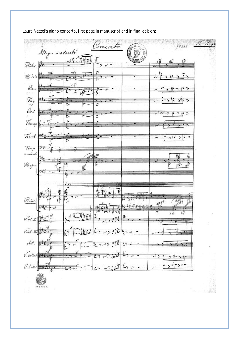encerto 14285 Allegro moderato Plates.  $\mathcal{H}$ bois Olar. ÷ Pag  $\mathcal{C}_{od}$ V, ⋤ Tromp. Tromb.  $\rightarrow$  $\overline{ }$ Timip<br>ca mado Ξ 秸 لمردد ī. Harpe 氰 Prairio Ξ 圪 ₫Ξ  $\hat{\text{Vol}}$ فأوسع  $\widehat{\text{Vol}}$ .  $\mathcal{N}$ V. adles دىم  $\varrho_{.}$ B & H. Nr. 11. 0 国际

Laura Netzel's piano concerto, first page in manuscript and in final edition: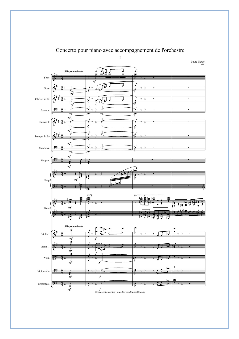

## Concerto pour piano avec accompagnement de l'orchestre